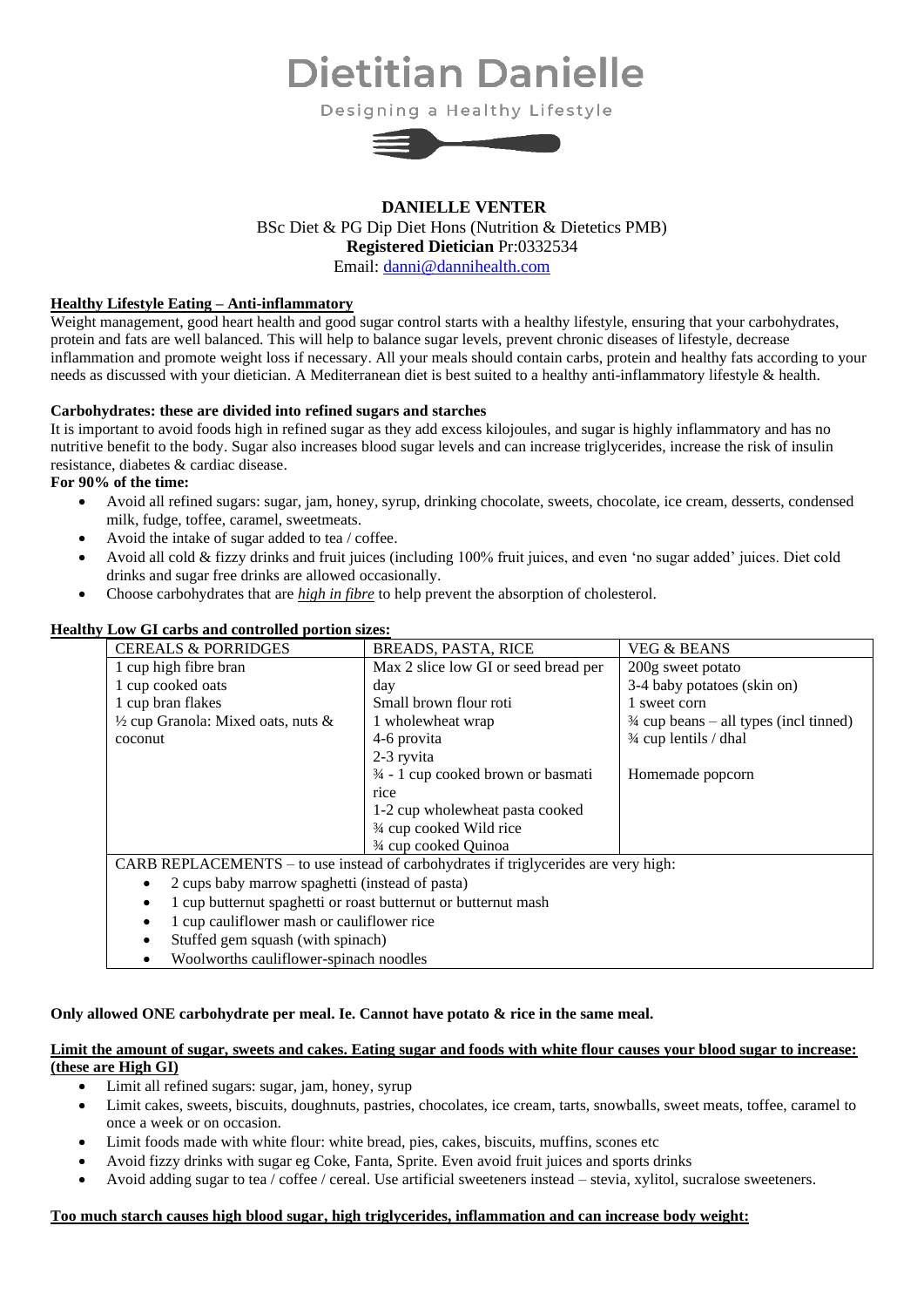# **Dietitian Danielle**

Designing a Healthy Lifestyle



# **DANIELLE VENTER** BSc Diet & PG Dip Diet Hons (Nutrition & Dietetics PMB) **Registered Dietician** Pr:0332534 Email: [danni@dannihealth.com](mailto:danni@dannihealth.com)

# **Healthy Lifestyle Eating – Anti-inflammatory**

Weight management, good heart health and good sugar control starts with a healthy lifestyle, ensuring that your carbohydrates, protein and fats are well balanced. This will help to balance sugar levels, prevent chronic diseases of lifestyle, decrease inflammation and promote weight loss if necessary. All your meals should contain carbs, protein and healthy fats according to your needs as discussed with your dietician. A Mediterranean diet is best suited to a healthy anti-inflammatory lifestyle & health.

# **Carbohydrates: these are divided into refined sugars and starches**

It is important to avoid foods high in refined sugar as they add excess kilojoules, and sugar is highly inflammatory and has no nutritive benefit to the body. Sugar also increases blood sugar levels and can increase triglycerides, increase the risk of insulin resistance, diabetes & cardiac disease.

# **For 90% of the time:**

- Avoid all refined sugars: sugar, jam, honey, syrup, drinking chocolate, sweets, chocolate, ice cream, desserts, condensed milk, fudge, toffee, caramel, sweetmeats.
- Avoid the intake of sugar added to tea / coffee.
- Avoid all cold & fizzy drinks and fruit juices (including 100% fruit juices, and even 'no sugar added' juices. Diet cold drinks and sugar free drinks are allowed occasionally.
- Choose carbohydrates that are *high in fibre* to help prevent the absorption of cholesterol.

|                                                                 | ny Low G1 calos and controned portion sizes.                                        |                                               |                                                   |  |  |  |
|-----------------------------------------------------------------|-------------------------------------------------------------------------------------|-----------------------------------------------|---------------------------------------------------|--|--|--|
|                                                                 | <b>CEREALS &amp; PORRIDGES</b>                                                      | <b>BREADS, PASTA, RICE</b>                    | <b>VEG &amp; BEANS</b>                            |  |  |  |
| 1 cup high fibre bran<br>1 cup cooked oats<br>1 cup bran flakes |                                                                                     | Max 2 slice low GI or seed bread per          | 200g sweet potato                                 |  |  |  |
|                                                                 |                                                                                     | day                                           | 3-4 baby potatoes (skin on)                       |  |  |  |
|                                                                 |                                                                                     | Small brown flour roti                        | 1 sweet corn                                      |  |  |  |
|                                                                 | $\frac{1}{2}$ cup Granola: Mixed oats, nuts &                                       | 1 wholewheat wrap                             | $\frac{3}{4}$ cup beans – all types (incl tinned) |  |  |  |
| coconut                                                         |                                                                                     | 4-6 provita                                   | $\frac{3}{4}$ cup lentils / dhal                  |  |  |  |
|                                                                 |                                                                                     | 2-3 ryvita                                    |                                                   |  |  |  |
|                                                                 |                                                                                     | $\frac{3}{4}$ - 1 cup cooked brown or basmati | Homemade popcorn                                  |  |  |  |
|                                                                 |                                                                                     | rice                                          |                                                   |  |  |  |
|                                                                 |                                                                                     | 1-2 cup wholewheat pasta cooked               |                                                   |  |  |  |
|                                                                 |                                                                                     | 3⁄4 cup cooked Wild rice                      |                                                   |  |  |  |
|                                                                 |                                                                                     | 3/4 cup cooked Quinoa                         |                                                   |  |  |  |
|                                                                 | CARB REPLACEMENTS – to use instead of carbohydrates if triglycerides are very high: |                                               |                                                   |  |  |  |
|                                                                 | 2 cups baby marrow spaghetti (instead of pasta)                                     |                                               |                                                   |  |  |  |
|                                                                 | 1 cup butternut spaghetti or roast butternut or butternut mash                      |                                               |                                                   |  |  |  |
|                                                                 |                                                                                     |                                               |                                                   |  |  |  |

# **Healthy Low GI carbs and controlled portion sizes:**

- 1 cup cauliflower mash or cauliflower rice
- Stuffed gem squash (with spinach)
- Woolworths cauliflower-spinach noodles

# **Only allowed ONE carbohydrate per meal. Ie. Cannot have potato & rice in the same meal.**

# **Limit the amount of sugar, sweets and cakes. Eating sugar and foods with white flour causes your blood sugar to increase: (these are High GI)**

- Limit all refined sugars: sugar, jam, honey, syrup
- Limit cakes, sweets, biscuits, doughnuts, pastries, chocolates, ice cream, tarts, snowballs, sweet meats, toffee, caramel to once a week or on occasion.
- Limit foods made with white flour: white bread, pies, cakes, biscuits, muffins, scones etc
- Avoid fizzy drinks with sugar eg Coke, Fanta, Sprite. Even avoid fruit juices and sports drinks
- Avoid adding sugar to tea / coffee / cereal. Use artificial sweeteners instead stevia, xylitol, sucralose sweeteners.

#### **Too much starch causes high blood sugar, high triglycerides, inflammation and can increase body weight:**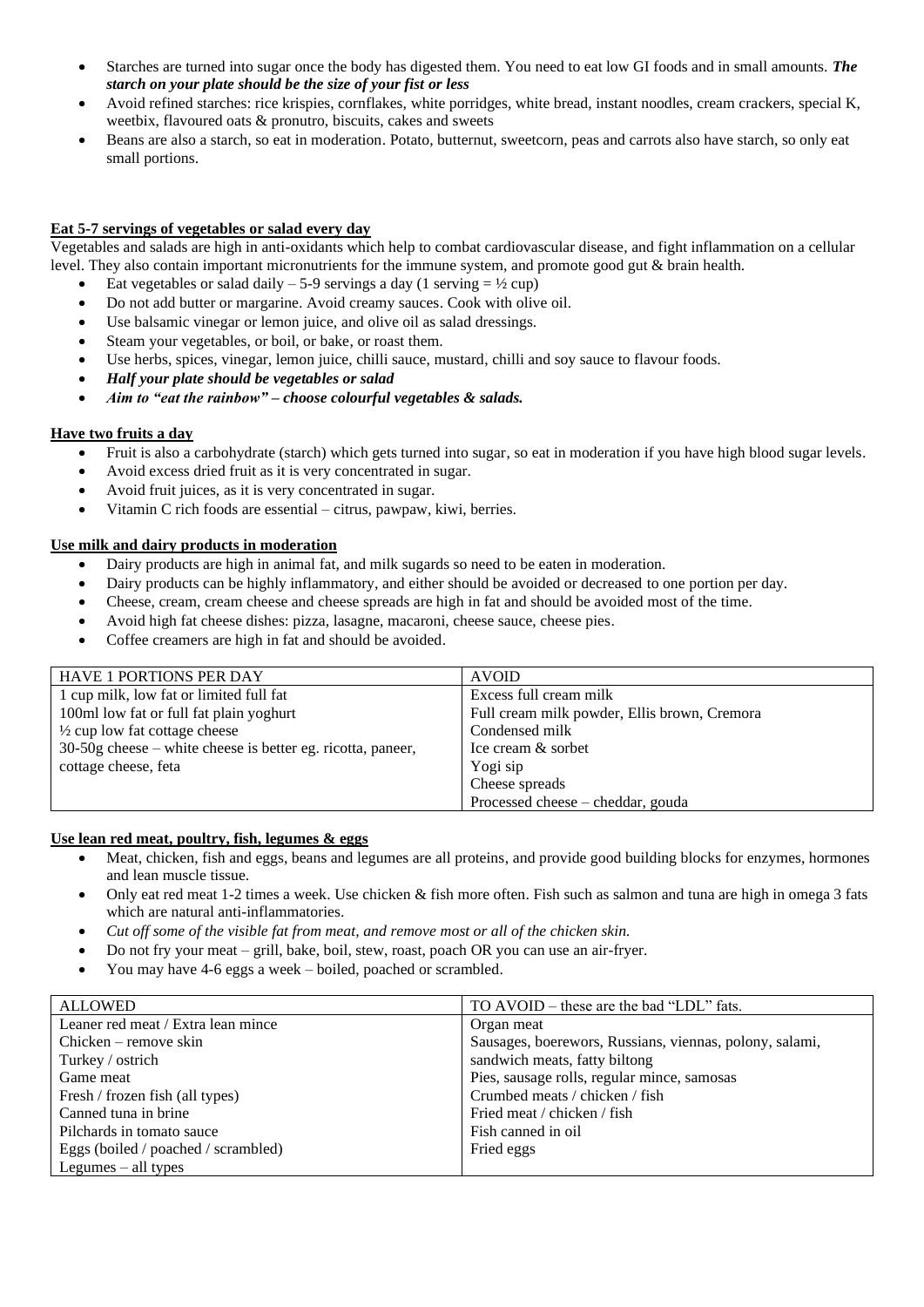- Starches are turned into sugar once the body has digested them. You need to eat low GI foods and in small amounts. *The starch on your plate should be the size of your fist or less*
- Avoid refined starches: rice krispies, cornflakes, white porridges, white bread, instant noodles, cream crackers, special K, weetbix, flavoured oats & pronutro, biscuits, cakes and sweets
- Beans are also a starch, so eat in moderation. Potato, butternut, sweetcorn, peas and carrots also have starch, so only eat small portions.

# **Eat 5-7 servings of vegetables or salad every day**

Vegetables and salads are high in anti-oxidants which help to combat cardiovascular disease, and fight inflammation on a cellular level. They also contain important micronutrients for the immune system, and promote good gut & brain health.

- Eat vegetables or salad daily 5-9 servings a day (1 serving  $= \frac{1}{2}$  cup)
- Do not add butter or margarine. Avoid creamy sauces. Cook with olive oil.
- Use balsamic vinegar or lemon juice, and olive oil as salad dressings.
- Steam your vegetables, or boil, or bake, or roast them.
- Use herbs, spices, vinegar, lemon juice, chilli sauce, mustard, chilli and soy sauce to flavour foods.
- *Half your plate should be vegetables or salad*
- *Aim to "eat the rainbow" – choose colourful vegetables & salads.*

# **Have two fruits a day**

- Fruit is also a carbohydrate (starch) which gets turned into sugar, so eat in moderation if you have high blood sugar levels.
- Avoid excess dried fruit as it is very concentrated in sugar.
- Avoid fruit juices, as it is very concentrated in sugar.
- Vitamin C rich foods are essential citrus, pawpaw, kiwi, berries.

# **Use milk and dairy products in moderation**

- Dairy products are high in animal fat, and milk sugards so need to be eaten in moderation.
- Dairy products can be highly inflammatory, and either should be avoided or decreased to one portion per day.
- Cheese, cream, cream cheese and cheese spreads are high in fat and should be avoided most of the time.
- Avoid high fat cheese dishes: pizza, lasagne, macaroni, cheese sauce, cheese pies.
- Coffee creamers are high in fat and should be avoided.

| <b>HAVE 1 PORTIONS PER DAY</b>                                | <b>AVOID</b>                                 |
|---------------------------------------------------------------|----------------------------------------------|
| 1 cup milk, low fat or limited full fat                       | Excess full cream milk                       |
| 100ml low fat or full fat plain yoghurt                       | Full cream milk powder, Ellis brown, Cremora |
| $\frac{1}{2}$ cup low fat cottage cheese                      | Condensed milk                               |
| $30-50g$ cheese – white cheese is better eg. ricotta, paneer, | Ice cream & sorbet                           |
| cottage cheese, feta                                          | Yogi sip                                     |
|                                                               | Cheese spreads                               |
|                                                               | Processed cheese – cheddar, gouda            |

#### **Use lean red meat, poultry, fish, legumes & eggs**

- Meat, chicken, fish and eggs, beans and legumes are all proteins, and provide good building blocks for enzymes, hormones and lean muscle tissue.
- Only eat red meat 1-2 times a week. Use chicken & fish more often. Fish such as salmon and tuna are high in omega 3 fats which are natural anti-inflammatories.
- *Cut off some of the visible fat from meat, and remove most or all of the chicken skin.*
- Do not fry your meat grill, bake, boil, stew, roast, poach OR you can use an air-fryer.
- You may have 4-6 eggs a week boiled, poached or scrambled.

| <b>ALLOWED</b>                      | TO AVOID – these are the bad "LDL" fats.                |
|-------------------------------------|---------------------------------------------------------|
| Leaner red meat / Extra lean mince  | Organ meat                                              |
| $Chicken$ – remove skin             | Sausages, boerewors, Russians, viennas, polony, salami, |
| Turkey / ostrich                    | sandwich meats, fatty biltong                           |
| Game meat                           | Pies, sausage rolls, regular mince, samosas             |
| Fresh / frozen fish (all types)     | Crumbed meats / chicken / fish                          |
| Canned tuna in brine                | Fried meat / chicken / fish                             |
| Pilchards in tomato sauce           | Fish canned in oil                                      |
| Eggs (boiled / poached / scrambled) | Fried eggs                                              |
| Legumes $-$ all types               |                                                         |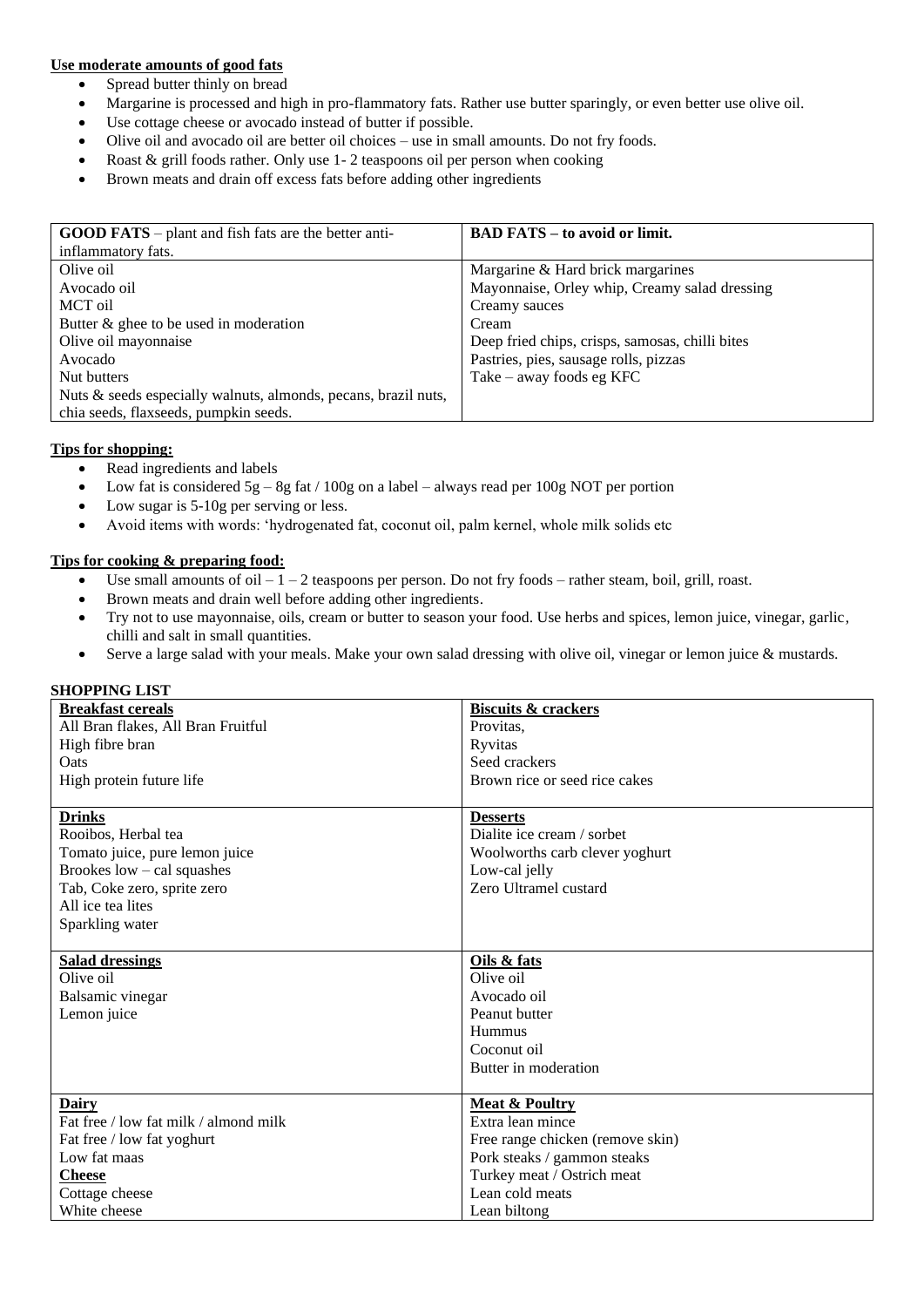#### **Use moderate amounts of good fats**

- Spread butter thinly on bread
- Margarine is processed and high in pro-flammatory fats. Rather use butter sparingly, or even better use olive oil.
- Use cottage cheese or avocado instead of butter if possible.
- Olive oil and avocado oil are better oil choices use in small amounts. Do not fry foods.
- Roast & grill foods rather. Only use 1-2 teaspoons oil per person when cooking
- Brown meats and drain off excess fats before adding other ingredients

| <b>GOOD FATS</b> – plant and fish fats are the better anti-    | <b>BAD FATS – to avoid or limit.</b>            |
|----------------------------------------------------------------|-------------------------------------------------|
| inflammatory fats.                                             |                                                 |
| Olive oil                                                      | Margarine & Hard brick margarines               |
| Avocado oil                                                    | Mayonnaise, Orley whip, Creamy salad dressing   |
| MCT oil                                                        | Creamy sauces                                   |
| Butter $\&$ ghee to be used in moderation                      | Cream                                           |
| Olive oil mayonnaise                                           | Deep fried chips, crisps, samosas, chilli bites |
| Avocado                                                        | Pastries, pies, sausage rolls, pizzas           |
| Nut butters                                                    | Take – away foods eg $KFC$                      |
| Nuts & seeds especially walnuts, almonds, pecans, brazil nuts, |                                                 |
| chia seeds, flaxseeds, pumpkin seeds.                          |                                                 |

# **Tips for shopping:**

- Read ingredients and labels
- Low fat is considered  $5g 8g$  fat / 100g on a label always read per 100g NOT per portion
- Low sugar is 5-10g per serving or less.
- Avoid items with words: 'hydrogenated fat, coconut oil, palm kernel, whole milk solids etc

#### **Tips for cooking & preparing food:**

- Use small amounts of oil  $-1-2$  teaspoons per person. Do not fry foods rather steam, boil, grill, roast.
- Brown meats and drain well before adding other ingredients.
- Try not to use mayonnaise, oils, cream or butter to season your food. Use herbs and spices, lemon juice, vinegar, garlic, chilli and salt in small quantities.
- Serve a large salad with your meals. Make your own salad dressing with olive oil, vinegar or lemon juice & mustards.

# **SHOPPING LIST**

| <b>Breakfast cereals</b>              | <b>Biscuits &amp; crackers</b>   |
|---------------------------------------|----------------------------------|
| All Bran flakes, All Bran Fruitful    | Provitas.                        |
| High fibre bran                       | Ryvitas                          |
| Oats                                  | Seed crackers                    |
| High protein future life              | Brown rice or seed rice cakes    |
|                                       |                                  |
| <b>Drinks</b>                         | <b>Desserts</b>                  |
| Rooibos, Herbal tea                   | Dialite ice cream / sorbet       |
| Tomato juice, pure lemon juice        | Woolworths carb clever yoghurt   |
| Brookes $low - cal$ squashes          | Low-cal jelly                    |
| Tab, Coke zero, sprite zero           | Zero Ultramel custard            |
| All ice tea lites                     |                                  |
| Sparkling water                       |                                  |
|                                       |                                  |
| <b>Salad dressings</b>                | Oils & fats                      |
| Olive oil                             | Olive oil                        |
| Balsamic vinegar                      | Avocado oil                      |
| Lemon juice                           | Peanut butter                    |
|                                       | Hummus                           |
|                                       | Coconut oil                      |
|                                       | Butter in moderation             |
|                                       |                                  |
| Dairy                                 | <b>Meat &amp; Poultry</b>        |
| Fat free / low fat milk / almond milk | Extra lean mince                 |
| Fat free / low fat yoghurt            | Free range chicken (remove skin) |
| Low fat maas                          | Pork steaks / gammon steaks      |
| <b>Cheese</b>                         | Turkey meat / Ostrich meat       |
| Cottage cheese                        | Lean cold meats                  |
| White cheese                          | Lean biltong                     |
|                                       |                                  |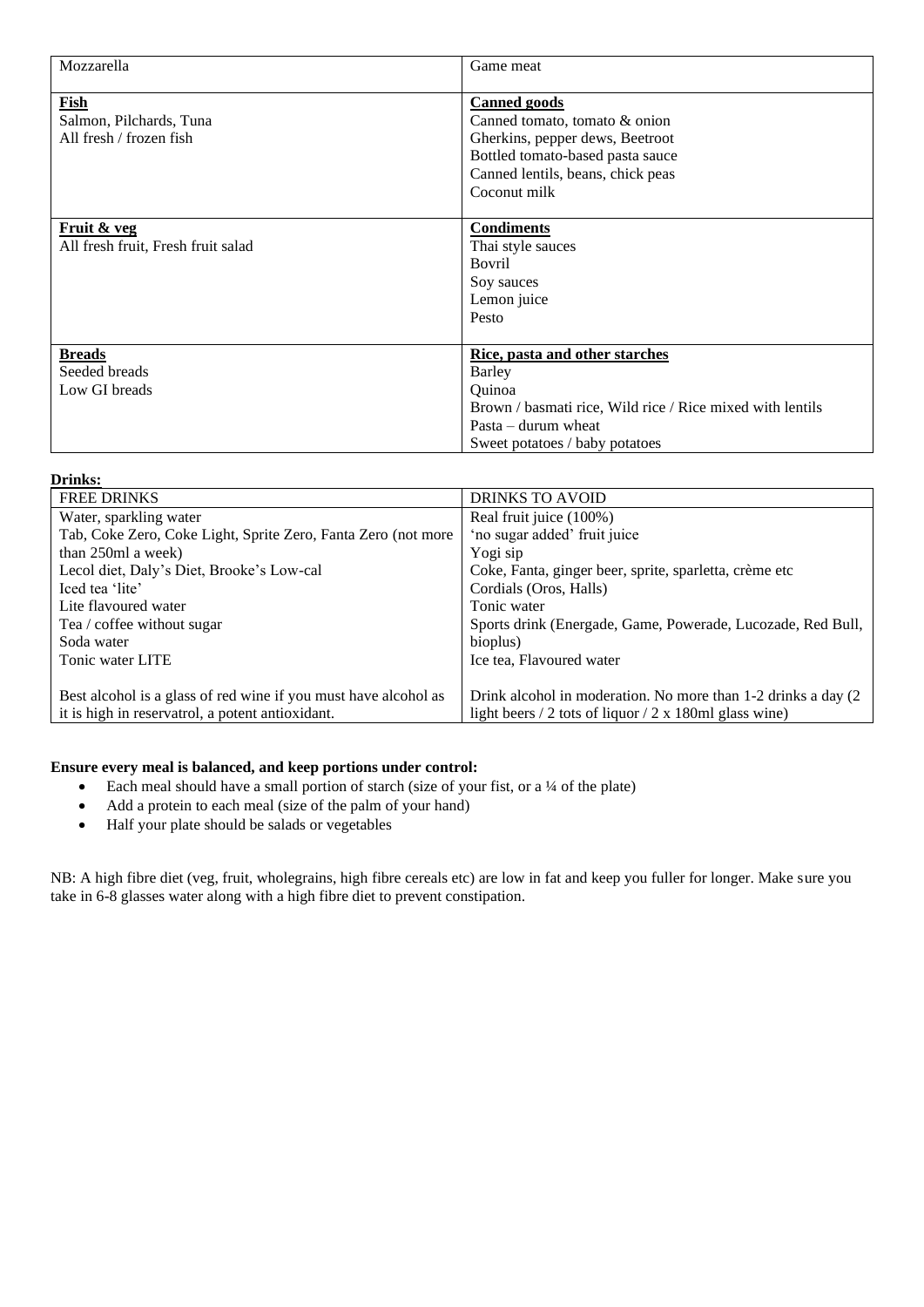| Mozzarella                                                        | Game meat                                                                                                                                                                        |
|-------------------------------------------------------------------|----------------------------------------------------------------------------------------------------------------------------------------------------------------------------------|
| <b>Fish</b><br>Salmon, Pilchards, Tuna<br>All fresh / frozen fish | <b>Canned goods</b><br>Canned tomato, tomato & onion<br>Gherkins, pepper dews, Beetroot<br>Bottled tomato-based pasta sauce<br>Canned lentils, beans, chick peas<br>Coconut milk |
| Fruit & veg<br>All fresh fruit, Fresh fruit salad                 | <b>Condiments</b><br>Thai style sauces<br>Bovril<br>Soy sauces<br>Lemon juice<br>Pesto                                                                                           |
| <b>Breads</b><br>Seeded breads<br>Low GI breads                   | Rice, pasta and other starches<br>Barley<br>Quinoa<br>Brown / basmati rice, Wild rice / Rice mixed with lentils<br>$Pasta - durum$ wheat<br>Sweet potatoes / baby potatoes       |

| Drinks:                                                         |                                                                |
|-----------------------------------------------------------------|----------------------------------------------------------------|
| <b>FREE DRINKS</b>                                              | <b>DRINKS TO AVOID</b>                                         |
| Water, sparkling water                                          | Real fruit juice (100%)                                        |
| Tab, Coke Zero, Coke Light, Sprite Zero, Fanta Zero (not more   | 'no sugar added' fruit juice                                   |
| than 250ml a week)                                              | Yogi sip                                                       |
| Lecol diet, Daly's Diet, Brooke's Low-cal                       | Coke, Fanta, ginger beer, sprite, sparletta, crème etc         |
| Iced tea 'lite'                                                 | Cordials (Oros, Halls)                                         |
| Lite flavoured water                                            | Tonic water                                                    |
| Tea / coffee without sugar                                      | Sports drink (Energade, Game, Powerade, Lucozade, Red Bull,    |
| Soda water                                                      | bioplus)                                                       |
| Tonic water LITE                                                | Ice tea, Flavoured water                                       |
|                                                                 |                                                                |
| Best alcohol is a glass of red wine if you must have alcohol as | Drink alcohol in moderation. No more than 1-2 drinks a day (2) |
| it is high in reservatrol, a potent antioxidant.                | light beers / 2 tots of liquor / 2 x 180ml glass wine)         |

# **Ensure every meal is balanced, and keep portions under control:**

- Each meal should have a small portion of starch (size of your fist, or a  $\frac{1}{4}$  of the plate)
- Add a protein to each meal (size of the palm of your hand)
- Half your plate should be salads or vegetables

NB: A high fibre diet (veg, fruit, wholegrains, high fibre cereals etc) are low in fat and keep you fuller for longer. Make sure you take in 6-8 glasses water along with a high fibre diet to prevent constipation.